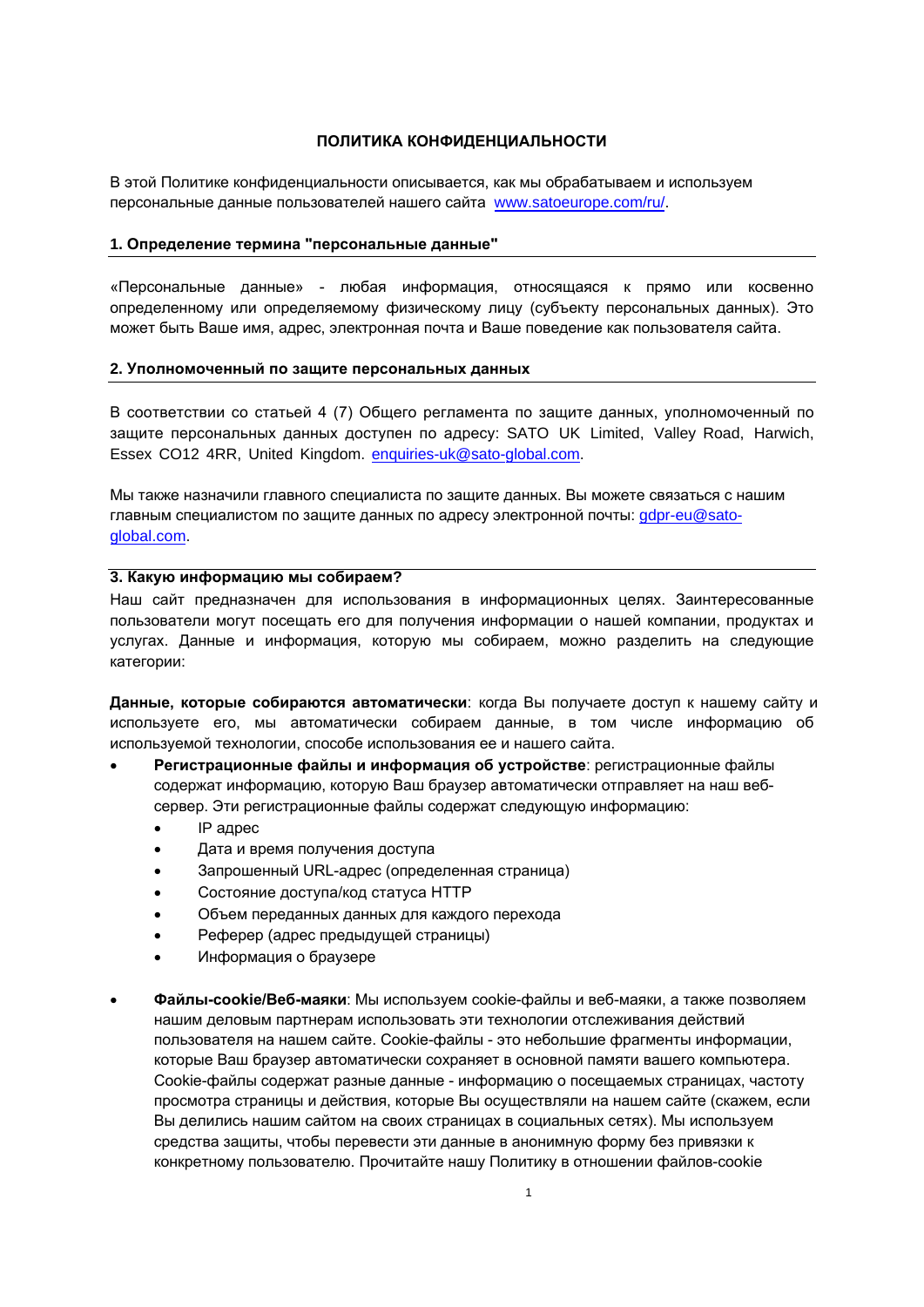# ПОЛИТИКА КОНФИДЕНЦИАЛЬНОСТИ

В этой Политике конфиденциальности описывается, как мы обрабатываем и используем персональные данные пользователей нашего сайта www.satoeurope.com/ru/.

### 1. Определение термина "персональные данные"

«Персональные данные» - любая информация, относящаяся к прямо или косвенно определенному или определяемому физическому лицу (субъекту персональных данных). Это может быть Ваше имя, адрес, электронная почта и Ваше поведение как пользователя сайта.

#### 2. Уполномоченный по защите персональных данных

В соответствии со статьей 4 (7) Общего регламента по защите данных, уполномоченный по защите персональных данных доступен по адресу: SATO UK Limited, Valley Road, Harwich, Essex CO12 4RR, United Kingdom. enquiries-uk@sato-global.com.

Мы также назначили главного специалиста по защите данных. Вы можете связаться с нашим главным специалистом по защите данных по адресу электронной почты: gdpr-eu@satoglobal.com

## 3. Какую информацию мы собираем?

Наш сайт предназначен для использования в информационных целях. Заинтересованные пользователи могут посещать его для получения информации о нашей компании, продуктах и услугах. Данные и информация, которую мы собираем, можно разделить на следующие категории:

Данные, которые собираются автоматически: когда Вы получаете доступ к нашему сайту и используете его, мы автоматически собираем данные, в том числе информацию об используемой технологии, способе использования ее и нашего сайта.

- Регистрационные файлы и информация об устройстве: регистрационные файлы содержат информацию, которую Ваш браузер автоматически отправляет на наш вебсервер. Эти регистрационные файлы содержат следующую информацию:
	- IP адрес
	- Дата и время получения доступа
	- Запрошенный URL-адрес (определенная страница)
	- Состояние доступа/код статуса НТТР
	- Объем переданных данных для каждого перехода
	- Реферер (адрес предыдущей страницы)
	- Информация о браузере
- Файлы-cookie/Веб-маяки: Мы используем cookie-файлы и веб-маяки, а также позволяем нашим деловым партнерам использовать эти технологии отслеживания действий пользователя на нашем сайте. Cookie-файлы - это небольшие фрагменты информации, которые Ваш браузер автоматически сохраняет в основной памяти вашего компьютера. Cookie-файлы содержат разные данные - информацию о посешаемых страницах, частоту просмотра страницы и действия, которые Вы осуществляли на нашем сайте (скажем, если Вы делились нашим сайтом на своих страницах в социальных сетях). Мы используем средства защиты. чтобы перевести эти данные в анонимную форму без привязки к конкретному пользователю. Прочитайте нашу Политику в отношении файлов-cookie для получения подробной информации.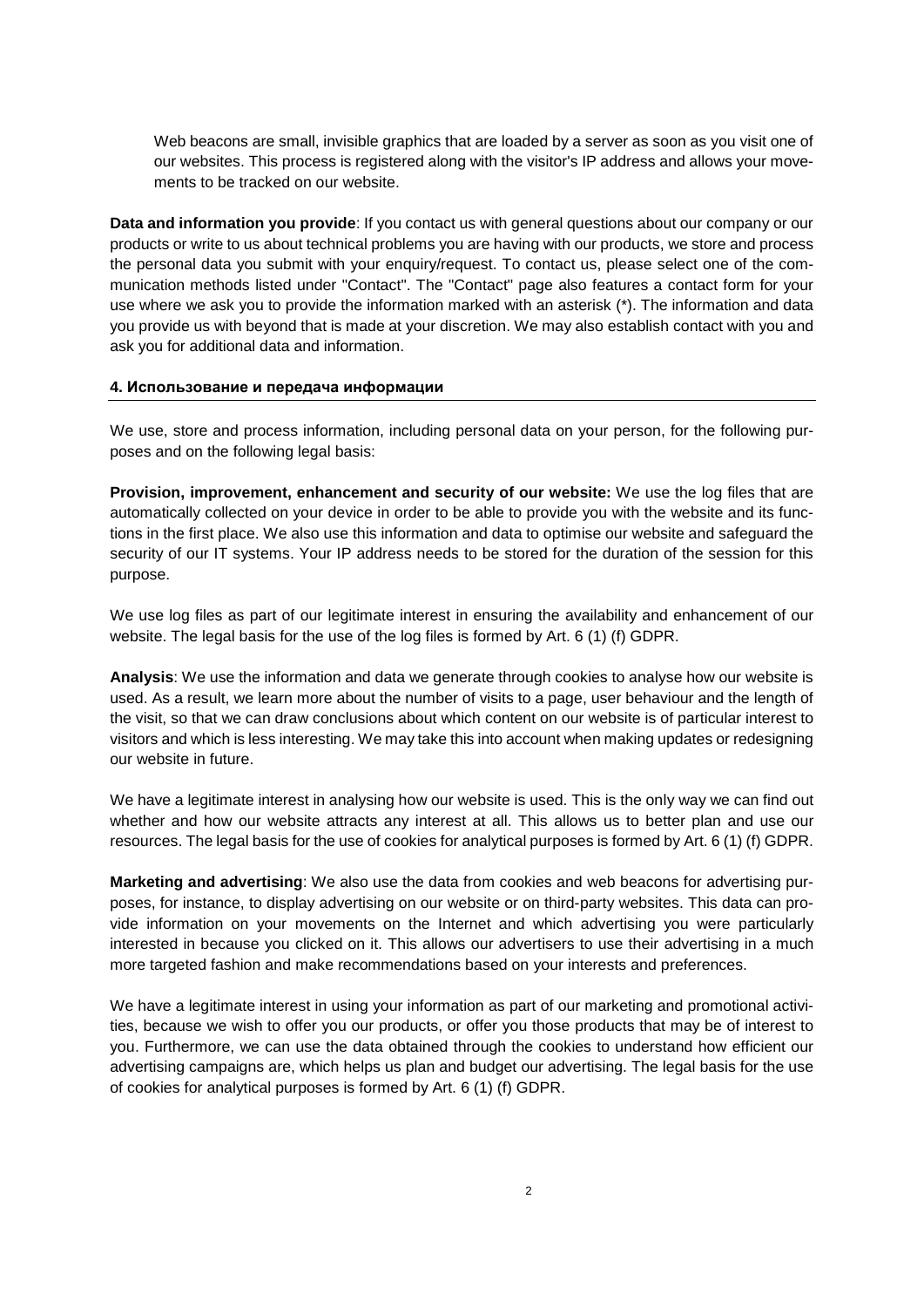Веб-маяки - маленькие прозрачные картинки, которые загружаются сервером, как только Вы посещаете один из наших сайтов. Этот процесс регистрируется вместе с IP-адресом и позволяет отслеживать Ваши действия на нашем сайте.

**Данные и информация, которые Вы предоставляете**: Если Вы обращаетесь к нам с вопросами общего характера о компании или продукции или уведомляете нас о технических проблемах, которые возникли у Вас при использовании нашей продукции, мы сохраняем и обрабатываем персональные данные, предоставляемые Вами при отправке запроса. Чтобы связаться с нами, пожалуйста, выберите один из способов под кнопкой "Свяжитесь с нами". На странице «Свяжитесь с нами» также содержится форма обратной связи, в которой Вы должны указать информацию, обозначенную звездочкой(\*). Другую дополнительную информацию Вы предоставляете на свое усмотрение. Помимо этого, мы можем связаться с Вами и запросить дополнительные данные и сведения.

Мы используем, сохраняем и обрабатываем информацию, в том числе Ваши персональные данные, исходя из следующих целей и на следующей правовой основе:

## **4. Использование и передача информации**

**Оптимизация и улучшение работы нашего сайта :** Мы используем регистрационные файлы, которые автоматически собираются на Вашем устройстве, чтобы Вы получили доступ к сайту и его функциям в первую очередь. Мы также используем эту информацию и данные для оптимизации нашего сайта и обеспечения безопасности Ваших ИТ-систем. Ваш IP-адрес хранится на протяжении всего сеанса с этой же целью

Мы используем регистрационные файлы в наших законных интересах для обеспечения доступности и улучшения работы нашего сайта. Законное основание использования регистрационных файлов сформулировано в Ст. 6 (1) Общего регламента по защите данных.

**Аналитика**: Мы используем информацию и данные, которые создаем благодаря cookieфайлам, чтобы проанализировать, как используется наш сайт. В результате мы больше узнаем о количестве посещений страниц, поведении пользователя и продолжительности визита, чтобы определить, какой контент на нашем сайте больше или меньше интересует посетителей. Мы можем учитывать эту информацию, обновляя сайт или изменяя его дизайн в будущем.

У нас есть законное право интересоваться тем, как используется наш сайт. Только таким способом мы можем определить, привлекателен ли наш сайт для пользователей. Это позволяет нам лучше планировать и использовать свои ресурсы.

**Маркетинг и реклама**: Помимо этого мы используем данные cookie-файлов и веб-маяков с целью рекламы, например, чтобы показывать рекламу на нашем сайте или на сайтах третьих сторон. Эти данные могут предоставить информацию о посещенных Вами веб-страницах и о рекламе, которая Вас особенно заинтересовала, потому что Вы кликнули на нее. Благодаря этому мы можем использовать более таргетированную рекламу и рекомендовать рекламу, основываясь на Ваших интересах и предпочтениях.

У нас есть законное право использовать Ваши данные в рамках нашей маркетинговой и рекламной деятельности, потому что мы хотим предлагать Вам нашу продукцию или продукцию, которая вызовет у Вас интерес. Более того, мы можем использовать данные cookie-файлов, чтобы понять, насколько эффективными являются рекламные кампании. Это позволяет нам планировать рекламу и выделять бюджет на нее. Законное основание использования cookieфайлов с аналитической целью сформулировано в Ст. 6 (1) Общего регламента по защите данных.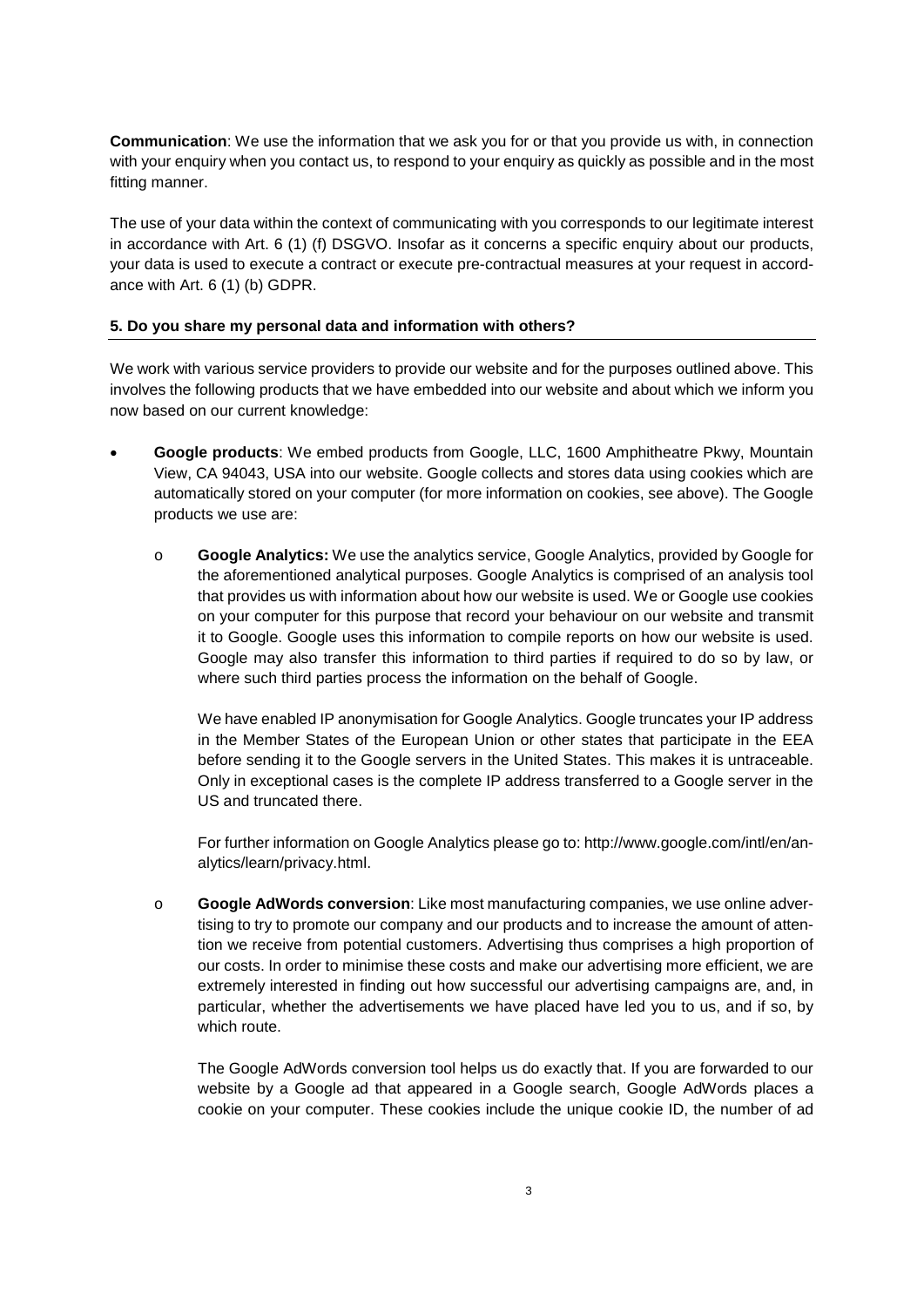**Коммуникация**: Мы используем информацию, которую запрашиваем у Вас или которую Вы предоставляете нам в рамках своего запроса, когда вы связываетесь с нами через форму обратно связи, чтобы как можно быстрее предоставить Вам ответ.

Использование Ваших данных в контексте коммуникации с Вами отвечает нашему законному интересу в соответствии со Ст. 6 (1) (f) Общего регламента по защите данных. Поскольку речь идет о конкретном запросе о наших продуктах, Ваши данные используются для того, чтобы подписать с вами контракт или предпринять меры до подписания контракта в соответствии со Ст. 6 (1) (b) Общего регламента по защите данных.

# **5. Делитесь ли вы моими персональными данными с третьими сторонами?**

Мы работаем с разными предоставляющими услуги организациями, которые обеспечивают работу нашего сайта и которые оказывают услуги, описанные выше. Это касается следующих продуктов, которые встроены в наш сайт и о которых мы информируем Вас:

|           | Google:<br>Mountain View, CA 94043, USA   | . Google       | Google, LLC, 1600 Amphitheatre Pkwy,                           |          |  |
|-----------|-------------------------------------------|----------------|----------------------------------------------------------------|----------|--|
| cookie-   | cookie-                                   | ).             | (                                                              | Google:  |  |
| $\circ$   | <b>Google Analytics:</b>                  |                | , Google Analytics,                                            |          |  |
| Analytics | Google c                                  |                |                                                                | . Google |  |
|           |                                           | Google         | $\overline{\phantom{a}}$<br>cookie-                            | ,        |  |
|           | $\pmb{\cdot}$<br>Google. Google           |                | $\overline{\phantom{a}}$                                       |          |  |
|           |                                           | . Google       |                                                                |          |  |
|           | $\, ,$                                    | Google.        |                                                                |          |  |
|           |                                           | IP-            | Google Analytics. Google                                       |          |  |
| IP-       |                                           |                |                                                                |          |  |
|           | ,                                         |                | Google                                                         |          |  |
|           | IP-<br>$\,$                               |                |                                                                |          |  |
|           | IP-                                       |                | Google                                                         |          |  |
|           | $\pmb{\cdot}$                             |                | Google Analytics,                                              |          |  |
|           |                                           |                | : http://www.google.com/intl/en/an-alytics/learn/privacy.html. |          |  |
| $\circ$   | $D$ h g $\setminus$ _ j k bAd Worldscagle |                |                                                                |          |  |
|           |                                           | $\pmb{\cdot}$  |                                                                |          |  |
|           |                                           |                | $\overline{\phantom{a}}$                                       |          |  |
|           |                                           |                |                                                                |          |  |
|           |                                           |                | ,                                                              |          |  |
|           | ,                                         |                | ,                                                              |          |  |
|           |                                           | Google AdWords |                                                                |          |  |
|           | Google                                    |                |                                                                | Google,  |  |
|           | Google AdWords                            | cookie-        |                                                                | cookie-  |  |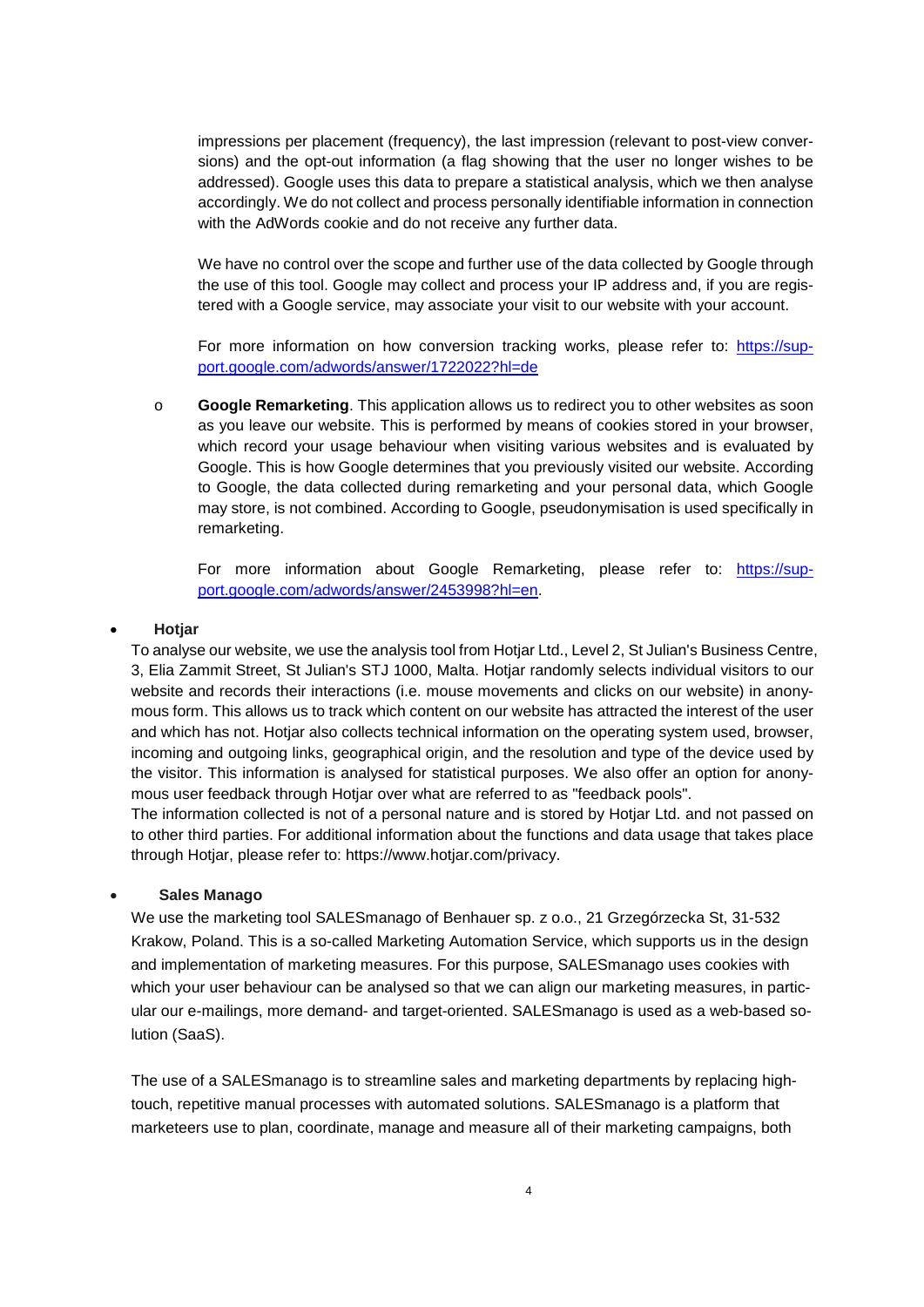содержат уникальный идентификатор cookie-файла, количество просмотров рекламы за одно размещение (количество посещений), последний просмотр (соответственно с конверсией после просмотра) и количество отказов (значок, который указывает на то, что пользователь больше не хочет видеть эту рекламу). Google использует эти данные, чтобы подготовить статистический анализ, который мы впоследствии анализируем. Мы не собираем и не обрабатываем личную информацию, связанную с cookie-файлами AdWords.

Мы не контролируем масштаб и дальнейшее использование данных, собранных Google, благодаря этому инструменту. Google может собирать и обрабатывать ваш IP-адрес, если Вы зарегистрированы в одном из сервисов Google, может связать Ваше посещение нашего сайта с Вашей учетной записью.

Для того чтобы получить детальную информацию об отслеживании конве[рсий,](https://support.google.com/adwords/answer/1722022?hl=de&ref_topic=3119146) пожалуйста, перейдите по ссылке: https://sup-port.google.com/adwords/ [answer/1722022?hl=de](https://support.google.com/adwords/answer/1722022?hl=de&ref_topic=3119146) 

o **Google Remarketing**. This application allows us to redirect you to other websites as soon as you leave our website. This is performed by means of cookies stored in your browser, which record your usage behaviour when visiting various websites and is evaluated by Google. This is how Google determines that you previously visited our website. According to Google, the data collected during remarketing and your personal data, which Google may store, is not combined. According to Google, pseudonymisation is used specifically in remarketing.

For more information about Google Remarketing, please refer to: [https://sup](https://support.google.com/adwords/answer/2453998?hl=de)[port.google.com/adwords/answer/2453998?hl=en.](https://support.google.com/adwords/answer/2453998?hl=de)

#### • **Hotjar**

To analyse our website, we use the analysis tool from Hotjar Ltd., Level 2, St Julian's Business Centre, 3, Elia Zammit Street, St Julian's STJ 1000, Malta. Hotjar randomly selects individual visitors to our website and records their interactions (i.e. mouse movements and clicks on our website) in anonymous form. This allows us to track which content on our website has attracted the interest of the user and which has not. Hotjar also collects technical information on the operating system used, browser, incoming and outgoing links, geographical origin, and the resolution and type of the device used by the visitor. This information is analysed for statistical purposes. We also offer an option for anonymous user feedback through Hotjar over what are referred to as "feedback pools".

The information collected is not of a personal nature and is stored by Hotjar Ltd. and not passed on to other third parties. For additional information about the functions and data usage that takes place through Hotjar, please refer to: [https://www.hotjar.com/privacy.](https://www.hotjar.com/privacy)

#### • **Sales Manago**

We use the marketing tool SALESmanago of Benhauer sp. z o.o., 21 Grzegórzecka St, 31-532 Krakow, Poland. This is a so-called Marketing Automation Service, which supports us in the design and implementation of marketing measures. For this purpose, SALESmanago uses cookies with which your user behaviour can be analysed so that we can align our marketing measures, in particular our e-mailings, more demand- and target-oriented. SALESmanago is used as a web-based solution (SaaS).

The use of a SALESmanago is to streamline sales and marketing departments by replacing hightouch, repetitive manual processes with automated solutions. SALESmanago is a platform that marketeers use to plan, coordinate, manage and measure all of their marketing campaigns, both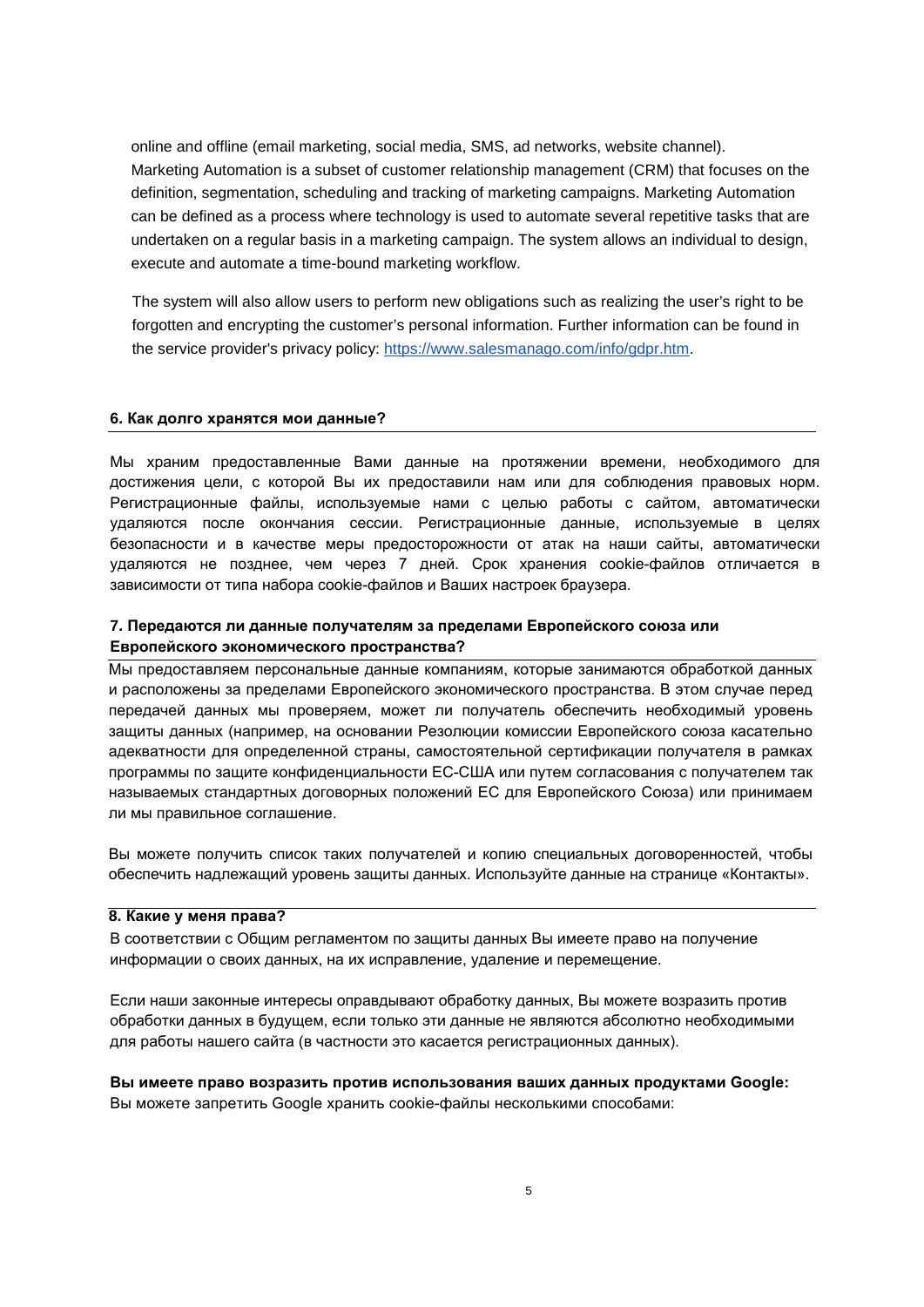online and offline (email marketing, social media, SMS, ad networks, website channel). Marketing Automation is a subset of customer relationship management (CRM) that focuses on the definition, segmentation, scheduling and tracking of marketing campaigns. Marketing Automation can be defined as a process where technology is used to automate several repetitive tasks that are undertaken on a regular basis in a marketing campaign. The system allows an individual to design, execute and automate a time-bound marketing workflow.

The system will also allow users to perform new obligations such as realizing the user's right to be forgotten and encrypting the customer's personal information. Further information can be found in the service provider's privacy policy: [https://www.salesmanago.com/info/gdpr.htm.](https://www.salesmanago.com/info/gdpr.htm)

#### **6. Как долго хранятся мои данные?**

Мы храним предоставленные Вами данные на протяжении времени, необходимого для достижения цели, с которой Вы их предоставили нам или для соблюдения правовых норм. Регистрационные файлы, используемые нами с целью работы с сайтом, автоматически удаляются после окончания сессии. Регистрационные данные, используемые в целях безопасности и в качестве меры предосторожности от атак на наши сайты, автоматически удаляются не позднее, чем через 7 дней. Срок хранения cookie-файлов отличается в зависимости от типа набора cookie-файлов и Ваших настроек браузера.

## **7. Передаются ли данные получателям за пределами Европейского союза или Европейского экономического пространства?**

Мы предоставляем персональные данные компаниям, которые занимаются обработкой данных и расположены за пределами Европейского экономического пространства. В этом случае перед передачей данных мы проверяем, может ли получатель обеспечить необходимый уровень защиты данных (например, на основании Резолюции комиссии Европейского союза касательно адекватности для определенной страны, самостоятельной сертификации получателя в рамках программы по защите конфиденциальности ЕС-США или путем согласования с получателем так называемых стандартных договорных положений ЕС для Европейского Союза) или принимаем ли мы правильное соглашение.

Вы можете получить список таких получателей и копию специальных договоренностей, чтобы обеспечить надлежащий уровень защиты данных. Используйте данные на странице «Контакты».

#### **8. Какие у меня права?**

В соответствии с Общим регламентом по защиты данных Вы имеете право на получение информации о своих данных, на их исправление, удаление и перемещение.

Если наши законные интересы оправдывают обработку данных, Вы можете возразить против обработки данных в будущем, если только эти данные не являются абсолютно необходимыми для работы нашего сайта (в частности это касается регистрационных данных).

**Вы имеете право возразить против использования ваших данных продуктами Google:**  Вы можете запретить Google хранить cookie-файлы несколькими способами: